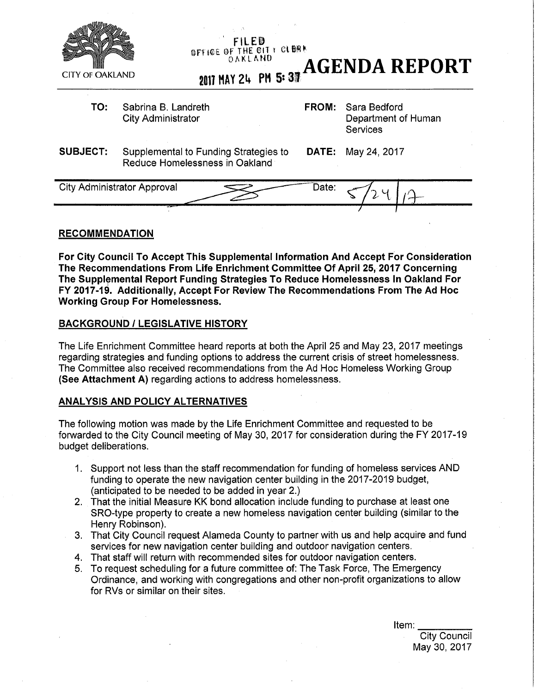

### **RECOMMENDATION**

**For City Council To Accept This Supplemental Information And Accept For Consideration The Recommendations From Life Enrichment Committee Of April 25, 2017 Concerning The Supplemental Report Funding Strategies To Reduce Homeiessness In Oakland For FY 2017-19. Additionally, Accept For Review The Recommendations From The Ad Hoc Working Group For Homeiessness.** 

### **BACKGROUND** *I* **LEGISLATIVE HISTORY**

The Life Enrichment Committee heard reports at both the April 25 and May 23, 2017 meetings regarding strategies and funding options to address the current crisis of street homeiessness. The Committee also received recommendations from the Ad Hoc Homeless Working Group **(See Attachment A)** regarding actions to address homeiessness.

### **ANALYSIS AND POLICY ALTERNATIVES**

The following motion was made by the Life Enrichment Committee and requested to be forwarded to the City Council meeting of May 30, 2017 for consideration during the FY 2017-19 budget deliberations.

- 1. Support not less than the staff recommendation for funding of homeless services AND funding to operate the new navigation center building in the 2017-2019 budget, (anticipated to be needed to be added in year 2.)
- 2. That the initial Measure **KK** bond allocation include funding to purchase at least one SRO-type property to create a new homeless navigation center building (similar to the Henry Robinson).
- 3. That City Council request Alameda County to partner with us and help acquire and fund services for new navigation center building and outdoor navigation centers.
- 4. That staff will return with recommended sites for outdoor navigation centers.
- 5. To request scheduling for a future committee of: The Task Force, The Emergency Ordinance, and working with congregations and other non-profit organizations to allow for RVs or similar on their sites.

Item: City Council May 30, 2017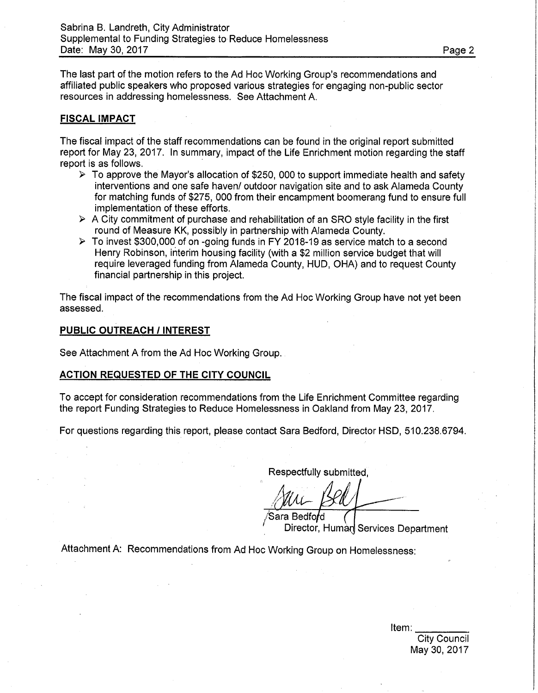The last part of the motion refers to the Ad Hoc Working Group's recommendations and affiliated public speakers who proposed various strategies for engaging non-public sector resources in addressing homelessness. See Attachment A.

# **FISCAL IMPACT**

The fiscal impact of the staff recommendations can be found in the original report submitted report for May 23, 2017. In summary, impact of the Life Enrichment motion regarding the staff report is as follows.

- $\triangleright$  To approve the Mayor's allocation of \$250, 000 to support immediate health and safety interventions and one safe haven/ outdoor navigation site and to ask Alameda County for matching funds of \$275, 000 from their encampment boomerang fund to ensure full implementation of these efforts.
- $\triangleright$  A City commitment of purchase and rehabilitation of an SRO style facility in the first round of Measure KK, possibly in partnership with Alameda County.
- > To invest \$300,000 of on -going funds in FY 2018-19 as service match to a second Henry Robinson, interim housing facility (with a \$2 million service budget that will require leveraged funding from Alameda County, HUD, OHA) and to request County financial partnership in this project.

The fiscal impact of the recommendations from the Ad Hoc Working Group have not yet been assessed.

### **PUBLIC OUTREACH** *I* **INTEREST**

See Attachment A from the Ad Hoc Working Group.

### **ACTION REQUESTED OF THE CITY COUNCIL**

To accept for consideration recommendations from the Life Enrichment Committee regarding the report Funding Strategies to Reduce Homelessness in Oakland from May 23, 2017.

For questions regarding this report, please contact Sara Bedford, Director HSD, 510.238.6794.

Respectfully submitted

Director, Human Services Department  $\operatorname{\mathsf{Sara}}\nolimits$  Bedfo $\operatorname{\mathsf{fd}}\nolimits$ 

Attachment A: Recommendations from Ad Hoc Working Group on Homelessness:

Item: City Council May 30, 2017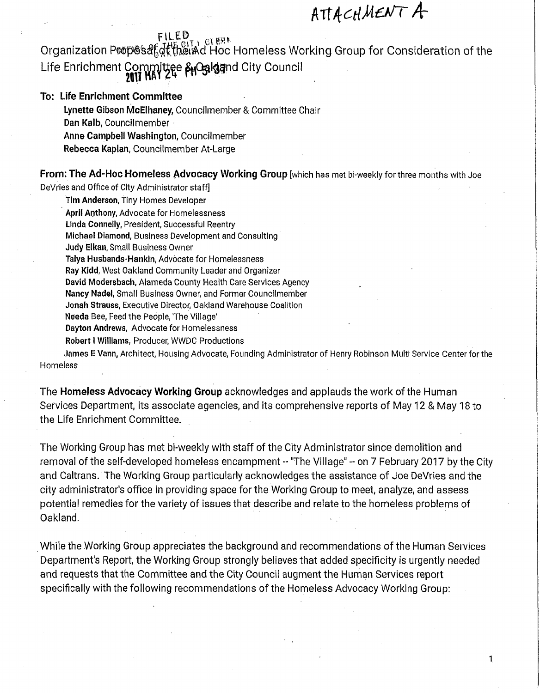# ATT *tcdM&JT Ar*

# FILED

Organization Proposa GRH MACLES Homeless Working Group for Consideration of the Life Enrichment Committee & Galgand City Council

# **To: Life Enrichment Committee**

**Lynette** Gibson McElhaney, Councilmember & Committee Chair Dan **Kalb,** Councilmember Anne Campbell Washington, Councilmember Rebecca Kaplan, Councilmember At-Large

From: **The Ad-Hoc Homeless Advocacy Working Group** [which has met bi-weekly for three months with Joe

DeVries and Office of City Administrator staff]

Tim Anderson, Tiny Homes Developer April Anthony, Advocate for Homelessness Linda Connelly, President, Successful Reentry Michael Diamond, Business Development and Consulting Judy Elkan, Small Business Owner Talya Husbands-Hankin, Advocate for Homelessness Ray Kidd, West Oakland Community Leader and Organizer David Modersbach, Alameda County Health Care Services Agency Nancy Nadei, Small Business Owner, and Former Councilmember Jonah Strauss, Executive Director, Oakland Warehouse Coalition Needa Bee, Feed the People, 'The Village' Dayton Andrews, Advocate for Homelessness Robert I Williams, Producer, WWDC Productions

James E Vann, Architect, Housing Advocate, Founding Administrator of Henry Robinson Multi Service Center for the Homeless

The **Homeless Advocacy Working Group** acknowledges and applauds the work of the Human Services Department, its associate agencies, and its comprehensive reports of May 12 & May 18 to the Life Enrichment Committee.

The Working Group has met bi-weekly with staff of the City Administrator since demolition and removal of the self-developed homeless encampment -- "The Village" -- on 7 February 2017 by the City and Caltrans. The Working Group particularly acknowledges the assistance of Joe DeVries and the city administrator's office in providing space for the Working Group to meet, analyze, and assess potential remedies for the variety of issues that describe and relate to the homeless problems of Oakland.

While the Working Group appreciates the background and recommendations of the Human Services Department's Report, the Working Group strongly believes that added specificity is urgently needed and requests that the Committee and the City Council augment the Human Services report specifically with the following recommendations of the Homeless Advocacy Working Group: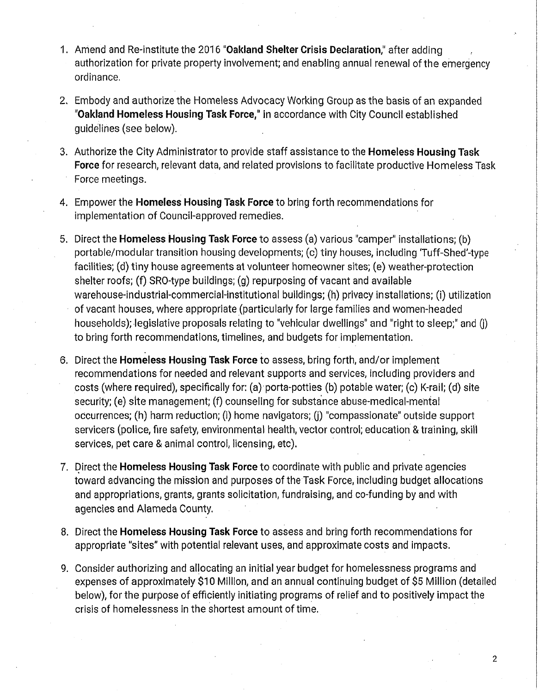- 1. Amend and Re-institute the 2016 **"Oakland Shelter Crisis Declaration,"** after adding authorization for private property involvement; and enabling annual renewal of the emergency ordinance.
- 2. Embody and authorize the Homeless Advocacy Working Group as the basis of an expanded **"Oakland Homeless Housing Task Force,"** in accordance with City Council established guidelines (see below).
- 3. Authorize the City Administrator to provide staff assistance to the **Homeless Housing Task Force** for research, relevant data, and related provisions to facilitate productive Homeless Task Force meetings.
- 4. Empower the **Homeless Housing Task Force** to bring forth recommendations for implementation of Council-approved remedies.
- 5. Direct the **Homeless Housing Task Force** to assess (a) various "camper" installations; (b) portable/modular transition housing developments; (c) tiny houses, including 'Tuff-Shed'-type facilities; (d) tiny house agreements at volunteer homeowner sites; (e) weather-protection shelter roofs; (f) SRO-type buildings; (g) repurposing of vacant and available warehouse-industrial-commercial-institutional buildings; (h) privacy installations; (i) utilization of vacant houses, where appropriate (particularly for large families and women-headed households); legislative proposals relating to "vehicular dwellings" and "right to sleep;" and (j) to bring forth recommendations, timelines, and budgets for implementation.
- 6. Direct the **Homeless Housing Task Force** to assess, bring forth, and/or implement recommendations for needed and relevant supports and services, including providers and costs (where required), specifically for: (a) porta-potties (b) potable water; (c) K-rail; (d) site security; (e) site management; (f) counseling for substance abuse-medical-mental occurrences; (h) harm reduction; (i) home navigators; (j) "compassionate" outside support servicers (police, fire safety, environmental health, vector control; education & training, skill services, pet care & animal control, licensing, etc).
- 7. Direct the **Homeless Housing Task Force** to coordinate with public and private agencies toward advancing the mission and purposes of the Task Force, including budget allocations and appropriations, grants, grants solicitation, fundraising, and co-funding by and with agencies and Alameda County.
- 8. Direct the **Homeless Housing Task Force** to assess and bring forth recommendations for appropriate "sites" with potential relevant uses, and approximate costs and impacts.
- 9. Consider authorizing and allocating an initial year budget for homelessness programs and expenses of approximately \$10 Million, and an annual continuing budget of \$5 Million (detailed below), for the purpose of efficiently initiating programs of relief and to positively impact the crisis of homelessness in the shortest amount of time.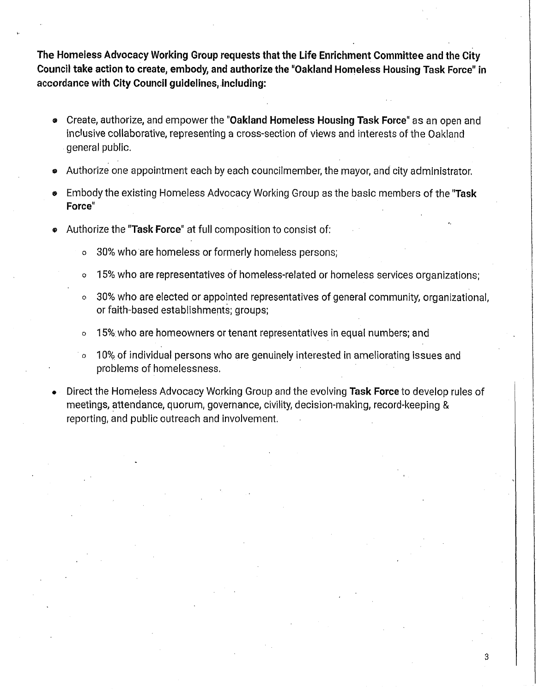**The Homeless Advocacy Working Group requests that the Life Enrichment Committee and the City Council take action to create, embody, and authorize the "Oakland Homeless Housing Task Force" in accordance with City Council guidelines, including:** 

- **®** Create, authorize, and empower the **"Oakland Homeless Housing Task Force"** as an open and inclusive collaborative, representing a cross-section of views and interests of the Oakland general public.
- Authorize one appointment each by each councilmember, the mayor, and city administrator.
- *9* Embody the existing Homeless Advocacy Working Group as the basic members of the **"Task Force"**
- « Authorize the **"Task Force"** at full composition to consist of:
	- o 30% who are homeless or formerly homeless persons;
	- 15% who are representatives of homeless-related or homeless services organizations;
	- o 30% who are elected or appointed representatives of general community, organizational, or faith-based establishments; groups;
	- o 15% who are homeowners or tenant representatives in equal numbers; and
	- o 10% of individual persons who are genuinely interested in ameliorating issues and problems of homelessness.
- Direct the Homeless Advocacy Working Group and the evolving **Task Force** to develop rules of meetings, attendance, quorum, governance, civility, decision-making, record-keeping & reporting, and public outreach and involvement.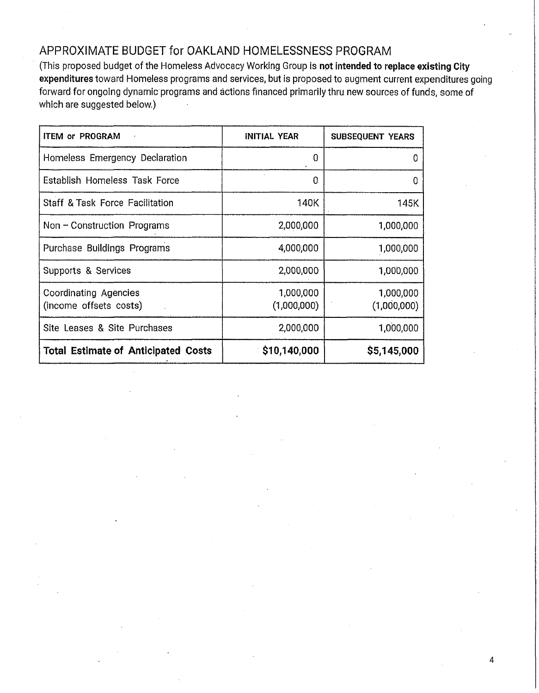# APPROXIMATE BUDGET for OAKLAND HOMELESSNESS PROGRAM

(This proposed budget of the Homeless Advocacy Working Group is **not intended to replace existing City expenditures** toward Homeless programs and services, but is proposed to augment current expenditures going forward for ongoing dynamic programs and actions financed primarily thru new sources of funds, some of which are suggested below.)

| <b>ITEM or PROGRAM</b>                          | <b>INITIAL YEAR</b>      | <b>SUBSEQUENT YEARS</b>  |
|-------------------------------------------------|--------------------------|--------------------------|
| Homeless Emergency Declaration                  | 0                        | <sup>0</sup>             |
| Establish Homeless Task Force                   | O                        | O                        |
| <b>Staff &amp; Task Force Facilitation</b>      | 140K                     | 145K                     |
| Non - Construction Programs                     | 2,000,000                | 1,000,000                |
| Purchase Buildings Programs                     | 4,000,000                | 1,000,000                |
| Supports & Services                             | 2,000,000                | 1,000,000                |
| Coordinating Agencies<br>(income offsets costs) | 1,000,000<br>(1,000,000) | 1,000,000<br>(1,000,000) |
| Site Leases & Site Purchases                    | 2,000,000                | 1,000,000                |
| <b>Total Estimate of Anticipated Costs</b>      | \$10,140,000             | \$5,145,000              |